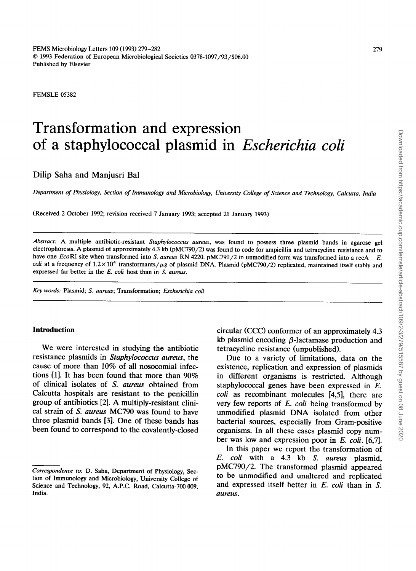FEMSLE 05382

# **Transformation and expression of a staphylococcal plasmid in** *Escherichia coli*

## Dilip Saha and Manjusri Bal

*Department of Physiology, Section of Immunology and Microbiology, University College of Science and Technology, Calcutta, India* 

(Received 2 October 1992; revision received 7 January 1993; accepted 21 January 1993)

*Abstract:* A multiple antibiotic-resistant *Staphylococcus aureus,* was found to possess three plasmid bands in agarose gel electrophoresis. A plasmid of approximately 4.3 kb (pMC790/2) was found to code for ampicillin and tetracycline resistance and to have one *EcoRI* site when transformed into *S. aureus RN 4220. pMC790/2* in unmodified form was transformed into a recA<sup>-</sup> E. *coli* at a frequency of  $1.2 \times 10^4$  transformants/ $\mu$ g of plasmid DNA. Plasmid (pMC790/2) replicated, maintained itself stably and expressed far better in the *E. coli* host than in *S. aureus.* 

*Key words:* Plasmid; *S. aureus;* Transformation; *Escherichia coli* 

## **Introduction**

We were interested in studying the antibiotic resistance plasmids in *Staphylococcus aureus,* the cause of more than 10% of all nosocomial infections [1]. It has been found that more than 90% of clinical isolates of *S. aureus* obtained from Calcutta hospitals are resistant to the penicillin group of antibiotics [2]. A multiply-resistant clinical strain of *S. aureus* MC790 was found to have three plasmid bands [3]. One of these bands has been found to correspond to the covalently-closed

circular (CCC) conformer of an approximately 4.3 kb plasmid encoding  $\beta$ -lactamase production and tetracycline resistance (unpublished).

Due to a variety of limitations, data on the existence, replication and expression of plasmids in different organisms is restricted. Although staphylococcal genes have been expressed in E. *coli* as recombinant molecules [4,5], there are very few reports of *E. coli* being transformed by unmodified plasmid DNA isolated from other bacterial sources, especially from Gram-positive organisms. In all these cases plasmid copy number was low and expression poor in *E. coli.* [6,7].

In this paper we report the transformation of *E. coli* with a 4.3 kb *S. aureus* plasmid, pMC790/2. The transformed plasmid appeared to be unmodified and unaltered and replicated and expressed itself better in *E. coli* than in S. *aureus .* 

*Correspondence to:* D. Saha, Department of Physiology, Section of Immunology and Microbiology, University College of Science and Technology, 92, A.P.C. Road, Calcutta-700 009, India.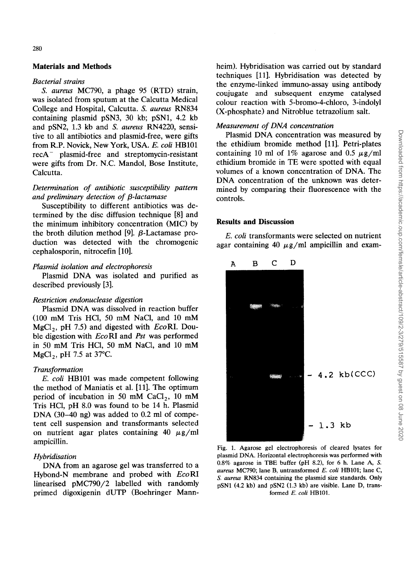## **Materials and Methods**

#### *Bacterial strains*

*S. aureus* MC790, a phage 95 (RTD) strain, was isolated from sputum at the Calcutta Medical College and Hospital, Calcutta. *S. aureus* RN834 containing plasmid pSN3, 30 kb; pSN1, 4.2 kb and pSN2, 1.3 kb and *S. aureus* RN4220, sensitive to all antibiotics and plasmid-free, were gifts from R.P. Novick, New York, USA. *E. coli* HB101 recA- plasmid-free and streptomycin-resistant were gifts from Dr. N.C. Mandol, Bose Institute, Calcutta.

## *Determination of antibiotic susceptibility pattern and preliminary detection of [3-lactamase*

Susceptibility to different antibiotics was determined by the disc diffusion technique [8] and the minimum inhibitory concentration (MIC) by the broth dilution method [9].  $\beta$ -Lactamase production was detected with the chromogenic cephalosporin, nitrocefin [10].

#### *Plasmid isolation and electrophoresis*

Plasmid DNA was isolated and purified as described previously [3].

#### *Restriction endonuclease digestion*

Plasmid DNA was dissolved in reaction buffer (100 mM Tris HCI, 50 mM NaCI, and 10 mM MgC12, pH 7.5) and digested with *EcoRI.* Double digestion with *EcoRI* and *Pst* was performed in 50 mM Tris HCI, 50 mM NaC1, and 10 mM  $MgCl<sub>2</sub>$ , pH 7.5 at 37°C.

#### *Transformation*

*E. coli* HB101 was made competent following the method of Maniatis et al. [11]. The optimum period of incubation in 50 mM  $CaCl<sub>2</sub>$ , 10 mM Tris HCI, pH 8.0 was found to be 14 h. Plasmid DNA (30-40 ng) was added to 0.2 ml of competent cell suspension and transformants selected on nutrient agar plates containing 40  $\mu$ g/ml ampicillin.

#### *Hybridisation*

DNA from an agarose gel was transferred to a Hybond-N membrane and probed with *EcoRI*  linearised pMC790/2 labelled with randomly primed digoxigenin dUTP (Boehringer Mannheim). Hybridisation was carried out by standard techniques [11]. Hybridisation was detected by the enzyme-linked immuno-assay using antibody coujugate and subsequent enzyme catalysed colour reaction with 5-bromo-4-chloro, 3-indolyl (X-phosphate) and Nitroblue tetrazolium salt.

#### *Measurement of DNA concentration*

Plasmid DNA concentration was measured by the ethidium bromide method [11]. Petri-plates containing 10 ml of 1% agarose and 0.5  $\mu$ g/ml ethidium bromide in TE were spotted with equal volumes of a known concentration of DNA. The DNA concentration of the unknown was determined by comparing their fluorescence with the controls.

#### **Results and Discussion**

*E. coli* transformants were selected on nutrient agar containing 40  $\mu$ g/ml ampicillin and exam-



Fig. 1. Agarose gel electrophoresis of cleared lysates for plasmid DNA. Horizontal electrophoresis was performed with 0.8% agarose in TBE buffer (oH 8.2), for 6 h. Lane A, S. *aureus* MC790; lane B, untransformed *E. coli* HB101; lane C, *S. aureus* RN834 containing the plasmid size standards. Only pSN1 (4.2 kb) and pSN2 (1.3 kb) are visible. Lane D, transformed *E. coli* HB101.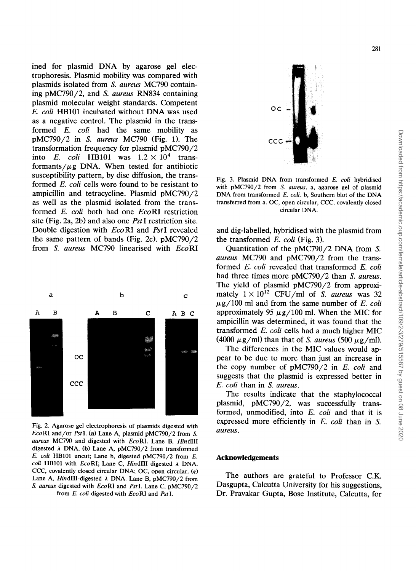ined for plasmid DNA by agarose gel electrophoresis. Plasmid mobility was compared with plasmids isolated from *S. aureus* MC790 containing pMC790/2, and *S. aureus* RN834 containing plasmid molecular weight standards. Competent *E. coli* HB101 incubated without DNA was used as a negative control. The plasmid in the transformed *E. coli* had the same mobility as pMC790/2 in *S. aureus* MC790 (Fig. 1). The transformation frequency for plasmid pMC790/2 into *E. coli* HB101 was  $1.2 \times 10^4$  transformants/ $\mu$ g DNA. When tested for antibiotic susceptibility pattern, by disc diffusion, the transformed *E. coli* cells were found to be resistant to ampicillin and tetracycline. Plasmid pMC790/2 as well as the plasmid isolated from the transformed *E. coli* both had one *EcoRI* restriction site (Fig. 2a, 2b) and also one *Pst* I restriction site. Double digestion with *EcoRI* and *PstI* revealed the same pattern of bands (Fig. 2c). pMC790/2 from *S. aureus* MC790 linearised with *EcoRI* 



Fig. 2. Agarose gel electrophoresis of plasmids digested with *EcoRI* and/or *PstI.* (a) Lane A, plasmid pMC790/2 from S. *aureus* MC790 and digested with *EcoRI.* Lane B, *HindIII*  digested  $\lambda$  DNA. (b) Lane A, pMC790/2 from transformed *E. coli* HB101 uncut; Lane b, digested pMC790/2 from E. *coli* HB101 with *EcoRI;* Lane C, *HindIII* digested A DNA. CCC, covalently closed circular DNA; OC, open circular. (c) Lane A, *HindIII-digested*  $\lambda$  DNA. Lane B, pMC790/2 from *S. aureus* digested with *EcoRI* and *PstI.* Lane C, pMC790/2 from *E. coli* digested with *EcoRI* and *PstI.* 



Fig. 3. Plasmid DNA from transformed *E. coli* hybridised with pMC790/2 from *S. aureus,* a, agarose gel of plasmid DNA from transformed *E. coli.* b, Southern blot of the DNA transferred from a. OC, open circular, CCC, covalently closed circular DNA.

and dig-labelled, hybridised with the plasmid from the transformed *E. coli* (Fig. 3).

Quantitation of the pMC790/2 DNA from S. *aureus* MC790 and pMC790/2 from the transformed *E. coli* revealed that transformed *E. coli*  had three times more pMC790/2 than *S. aureus.*  The yield of plasmid pMC790/2 from approximately  $1 \times 10^{12}$  CFU/ml of *S. aureus* was 32  $\mu$ g/100 ml and from the same number of *E. coli* approximately 95  $\mu$ g/100 ml. When the MIC for ampicillin was determined, it was found that the transformed *E. coli* cells had a much higher MIC (4000  $\mu$ g/ml) than that of *S. aureus* (500  $\mu$ g/ml).

The differences in the MIC values would appear to be due to more than just an increase in the copy number of pMC790/2 in *E. coli* and suggests that the plasmid is expressed better in *E. coli* than in *S. aureus.* 

The results indicate that the staphylococcal plasmid, pMC790/2, was successfully transformed, unmodified, into *E. coli* and that it is expressed more efficiently in *E. coli* than in S. *aureus.* 

## **Acknowledgements**

The authors are grateful to Professor C.K. Dasgupta, Calcutta University for his suggestions, Dr. Pravakar Gupta, Bose Institute, Calcutta, for